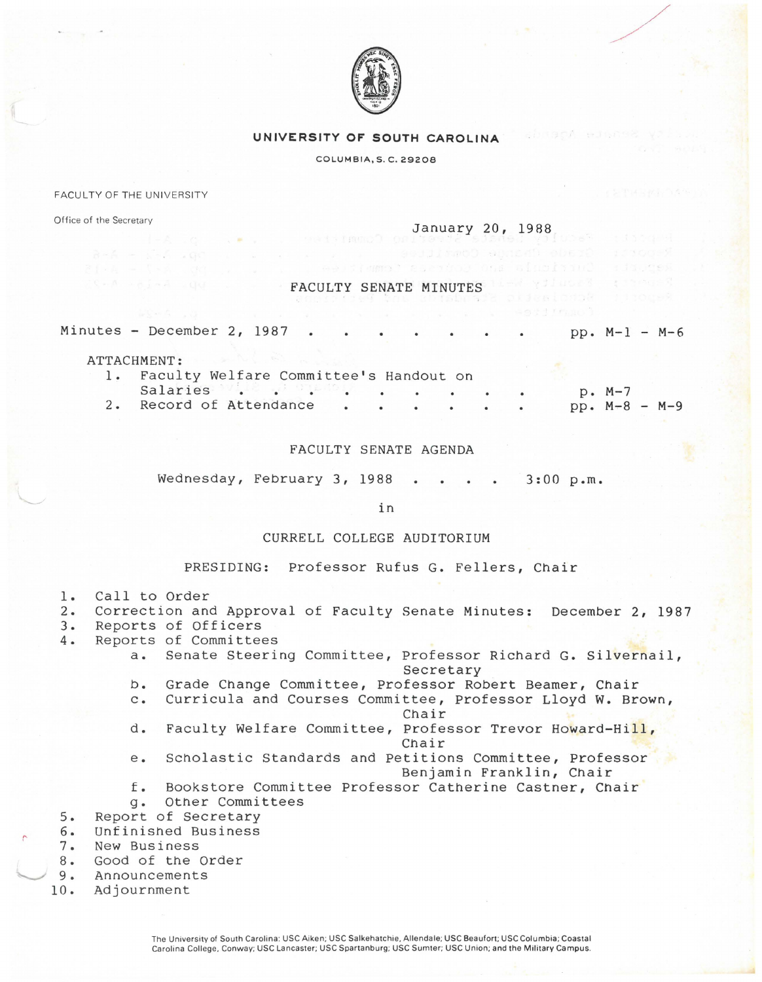

# **UNIVERSITY OF SOUTH CAROLINA**

# COLUMBIA, S. C. 29206

#### FACULTY OF THE UNIVERSITY

Office of the Secretary

#### January 20, 1988

### FACULTY SENATE MINUTES

Minutes - December 2, 1987  $pp. M-1 - M-6$ 

ATTACHMENT:

| 1. Faculty Welfare Committee's Handout on |  |  |  |  |  |                 |  |
|-------------------------------------------|--|--|--|--|--|-----------------|--|
|                                           |  |  |  |  |  | p. M-7          |  |
| 2. Record of Attendance                   |  |  |  |  |  | $pp. M-8 - M-9$ |  |

FACULTY SENATE AGENDA

Wednesday, February 3, 1988 3:00 p.m.

in

# CURRELL COLLEGE AUDITORIUM

PRESIDING: Professor Rufus G. Fellers, Chair

- 1. Call to Order
- 2. Correction and Approval of Faculty Senate Minutes: December 2, 1987
- 
- 3. Reports of Officers<br>4. Reports of Committee 4. Reports of Committees
	- a. Senate Steering Committee, Professor Richard G. Silvernail, Secretary
	- b. Grade Change Committee, Professor Robert Beamer, Chair
	- c. Curricula and Courses Committee, Professor Lloyd w. Brown, Chair
	- d. Faculty Welfare Committee, Professor Trevor Howard-Hill, Chair
	- e. Scholastic Standards and Petitions Committee, Professor Benjamin Franklin, Chair
	- f. Bookstore Committee Professor Catherine Castner, Chair g. Other Committees
- 5. Report of Secretary
- 6. Unfinished Business
- 7. New Business<br>8. Good of the

*('* 

- Good of the Order
- l........../ 9. Announcements
- 10. Adjournment